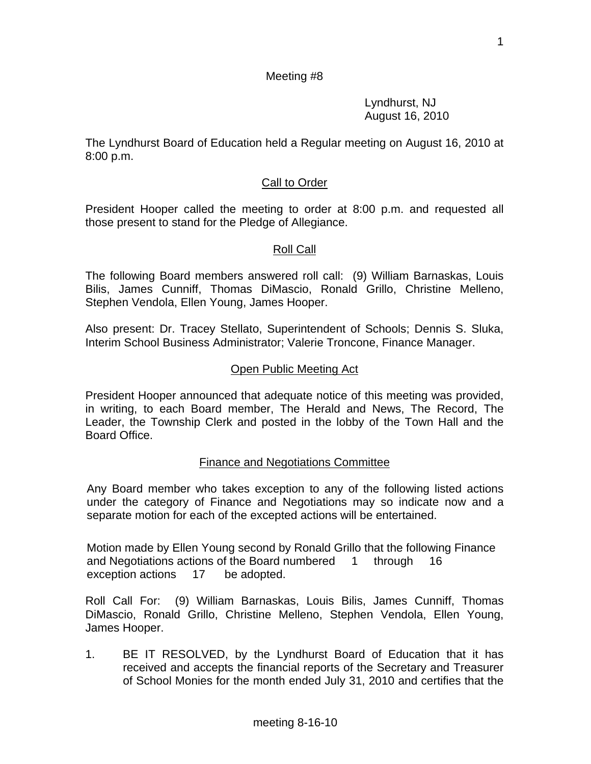## Meeting #8

 Lyndhurst, NJ August 16, 2010

The Lyndhurst Board of Education held a Regular meeting on August 16, 2010 at 8:00 p.m.

# Call to Order

President Hooper called the meeting to order at 8:00 p.m. and requested all those present to stand for the Pledge of Allegiance.

# Roll Call

The following Board members answered roll call: (9) William Barnaskas, Louis Bilis, James Cunniff, Thomas DiMascio, Ronald Grillo, Christine Melleno, Stephen Vendola, Ellen Young, James Hooper.

Also present: Dr. Tracey Stellato, Superintendent of Schools; Dennis S. Sluka, Interim School Business Administrator; Valerie Troncone, Finance Manager.

## Open Public Meeting Act

President Hooper announced that adequate notice of this meeting was provided, in writing, to each Board member, The Herald and News, The Record, The Leader, the Township Clerk and posted in the lobby of the Town Hall and the Board Office.

# Finance and Negotiations Committee

Any Board member who takes exception to any of the following listed actions under the category of Finance and Negotiations may so indicate now and a separate motion for each of the excepted actions will be entertained.

Motion made by Ellen Young second by Ronald Grillo that the following Finance and Negotiations actions of the Board numbered 1 through 16 exception actions 17 be adopted.

Roll Call For: (9) William Barnaskas, Louis Bilis, James Cunniff, Thomas DiMascio, Ronald Grillo, Christine Melleno, Stephen Vendola, Ellen Young, James Hooper.

1. BE IT RESOLVED, by the Lyndhurst Board of Education that it has received and accepts the financial reports of the Secretary and Treasurer of School Monies for the month ended July 31, 2010 and certifies that the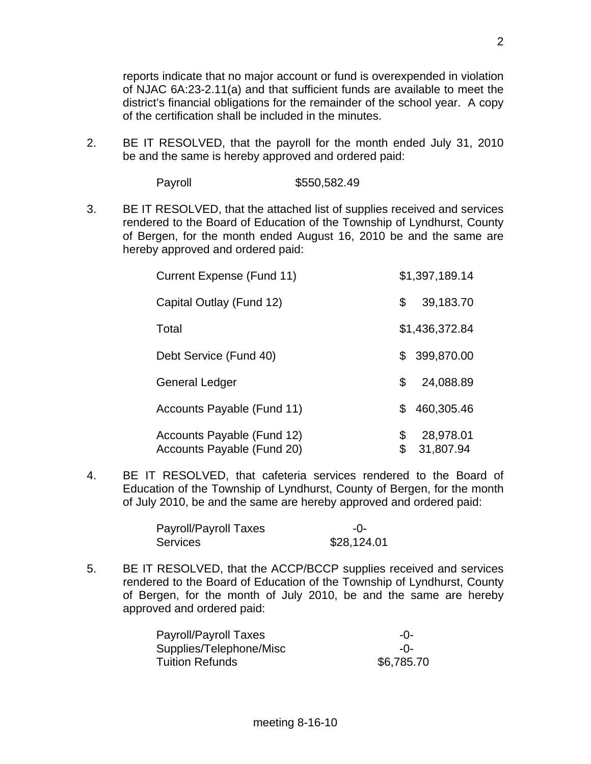reports indicate that no major account or fund is overexpended in violation of NJAC 6A:23-2.11(a) and that sufficient funds are available to meet the district's financial obligations for the remainder of the school year. A copy of the certification shall be included in the minutes.

2. BE IT RESOLVED, that the payroll for the month ended July 31, 2010 be and the same is hereby approved and ordered paid:

Payroll \$550,582.49

3. BE IT RESOLVED, that the attached list of supplies received and services rendered to the Board of Education of the Township of Lyndhurst, County of Bergen, for the month ended August 16, 2010 be and the same are hereby approved and ordered paid:

| Current Expense (Fund 11)                                |          | \$1,397,189.14         |
|----------------------------------------------------------|----------|------------------------|
| Capital Outlay (Fund 12)                                 | \$       | 39,183.70              |
| Total                                                    |          | \$1,436,372.84         |
| Debt Service (Fund 40)                                   | \$.      | 399,870.00             |
| General Ledger                                           | \$       | 24,088.89              |
| Accounts Payable (Fund 11)                               | \$.      | 460,305.46             |
| Accounts Payable (Fund 12)<br>Accounts Payable (Fund 20) | \$<br>\$ | 28,978.01<br>31,807.94 |

4. BE IT RESOLVED, that cafeteria services rendered to the Board of Education of the Township of Lyndhurst, County of Bergen, for the month of July 2010, be and the same are hereby approved and ordered paid:

| Payroll/Payroll Taxes | $-()$       |
|-----------------------|-------------|
| Services              | \$28,124.01 |

5. BE IT RESOLVED, that the ACCP/BCCP supplies received and services rendered to the Board of Education of the Township of Lyndhurst, County of Bergen, for the month of July 2010, be and the same are hereby approved and ordered paid:

| <b>Payroll/Payroll Taxes</b> | $-0-$      |
|------------------------------|------------|
| Supplies/Telephone/Misc      | $-()$      |
| <b>Tuition Refunds</b>       | \$6,785.70 |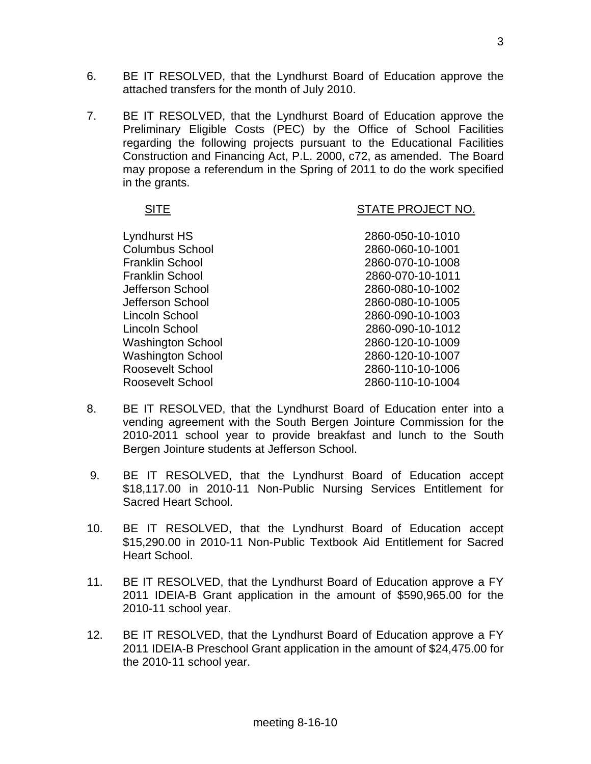- 6. BE IT RESOLVED, that the Lyndhurst Board of Education approve the attached transfers for the month of July 2010.
- 7. BE IT RESOLVED, that the Lyndhurst Board of Education approve the Preliminary Eligible Costs (PEC) by the Office of School Facilities regarding the following projects pursuant to the Educational Facilities Construction and Financing Act, P.L. 2000, c72, as amended. The Board may propose a referendum in the Spring of 2011 to do the work specified in the grants.

#### SITE SITE STATE PROJECT NO.

| Lyndhurst HS             | 2860-050-10-1010 |
|--------------------------|------------------|
| <b>Columbus School</b>   | 2860-060-10-1001 |
| <b>Franklin School</b>   | 2860-070-10-1008 |
| Franklin School          | 2860-070-10-1011 |
| Jefferson School         | 2860-080-10-1002 |
| Jefferson School         | 2860-080-10-1005 |
| Lincoln School           | 2860-090-10-1003 |
| Lincoln School           | 2860-090-10-1012 |
| <b>Washington School</b> | 2860-120-10-1009 |
| <b>Washington School</b> | 2860-120-10-1007 |
| Roosevelt School         | 2860-110-10-1006 |
| Roosevelt School         | 2860-110-10-1004 |

- 8. BE IT RESOLVED, that the Lyndhurst Board of Education enter into a vending agreement with the South Bergen Jointure Commission for the 2010-2011 school year to provide breakfast and lunch to the South Bergen Jointure students at Jefferson School.
- 9. BE IT RESOLVED, that the Lyndhurst Board of Education accept \$18,117.00 in 2010-11 Non-Public Nursing Services Entitlement for Sacred Heart School.
- 10. BE IT RESOLVED, that the Lyndhurst Board of Education accept \$15,290.00 in 2010-11 Non-Public Textbook Aid Entitlement for Sacred Heart School.
- 11. BE IT RESOLVED, that the Lyndhurst Board of Education approve a FY 2011 IDEIA-B Grant application in the amount of \$590,965.00 for the 2010-11 school year.
- 12. BE IT RESOLVED, that the Lyndhurst Board of Education approve a FY 2011 IDEIA-B Preschool Grant application in the amount of \$24,475.00 for the 2010-11 school year.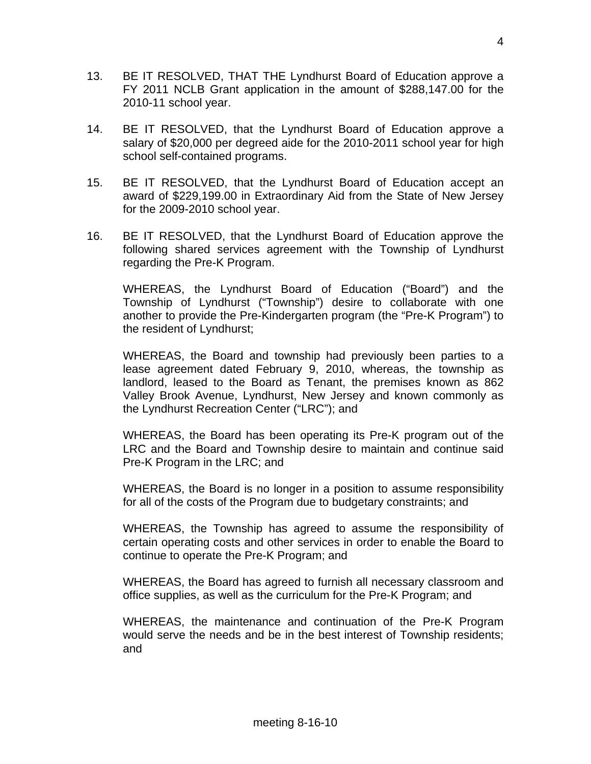- 13. BE IT RESOLVED, THAT THE Lyndhurst Board of Education approve a FY 2011 NCLB Grant application in the amount of \$288,147.00 for the 2010-11 school year.
- 14. BE IT RESOLVED, that the Lyndhurst Board of Education approve a salary of \$20,000 per degreed aide for the 2010-2011 school year for high school self-contained programs.
- 15. BE IT RESOLVED, that the Lyndhurst Board of Education accept an award of \$229,199.00 in Extraordinary Aid from the State of New Jersey for the 2009-2010 school year.
- 16. BE IT RESOLVED, that the Lyndhurst Board of Education approve the following shared services agreement with the Township of Lyndhurst regarding the Pre-K Program.

 WHEREAS, the Lyndhurst Board of Education ("Board") and the Township of Lyndhurst ("Township") desire to collaborate with one another to provide the Pre-Kindergarten program (the "Pre-K Program") to the resident of Lyndhurst;

 WHEREAS, the Board and township had previously been parties to a lease agreement dated February 9, 2010, whereas, the township as landlord, leased to the Board as Tenant, the premises known as 862 Valley Brook Avenue, Lyndhurst, New Jersey and known commonly as the Lyndhurst Recreation Center ("LRC"); and

 WHEREAS, the Board has been operating its Pre-K program out of the LRC and the Board and Township desire to maintain and continue said Pre-K Program in the LRC; and

 WHEREAS, the Board is no longer in a position to assume responsibility for all of the costs of the Program due to budgetary constraints; and

 WHEREAS, the Township has agreed to assume the responsibility of certain operating costs and other services in order to enable the Board to continue to operate the Pre-K Program; and

 WHEREAS, the Board has agreed to furnish all necessary classroom and office supplies, as well as the curriculum for the Pre-K Program; and

 WHEREAS, the maintenance and continuation of the Pre-K Program would serve the needs and be in the best interest of Township residents; and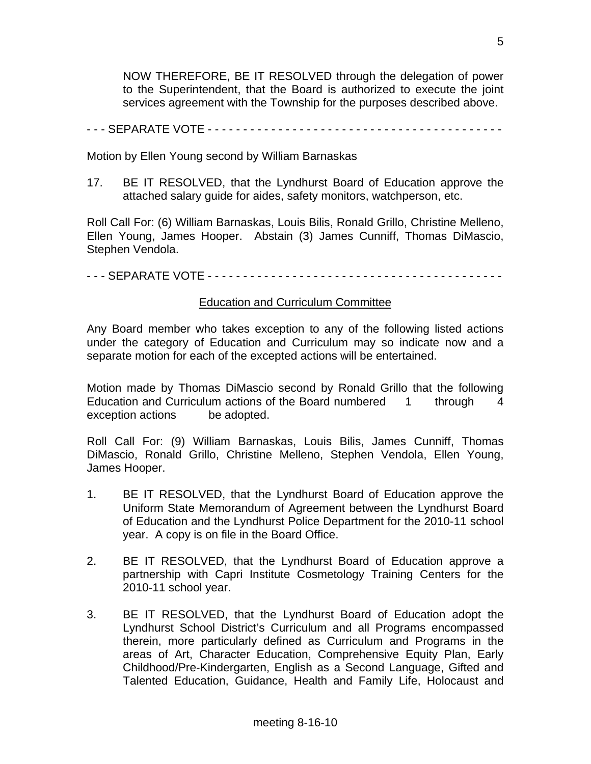NOW THEREFORE, BE IT RESOLVED through the delegation of power to the Superintendent, that the Board is authorized to execute the joint services agreement with the Township for the purposes described above.

#### - - - SEPARATE VOTE - - - - - - - - - - - - - - - - - - - - - - - - - - - - - - - - - - - - - - - - - -

Motion by Ellen Young second by William Barnaskas

17. BE IT RESOLVED, that the Lyndhurst Board of Education approve the attached salary guide for aides, safety monitors, watchperson, etc.

Roll Call For: (6) William Barnaskas, Louis Bilis, Ronald Grillo, Christine Melleno, Ellen Young, James Hooper. Abstain (3) James Cunniff, Thomas DiMascio, Stephen Vendola.

### - - - SEPARATE VOTE - - - - - - - - - - - - - - - - - - - - - - - - - - - - - - - - - - - - - - - - - -

### Education and Curriculum Committee

Any Board member who takes exception to any of the following listed actions under the category of Education and Curriculum may so indicate now and a separate motion for each of the excepted actions will be entertained.

Motion made by Thomas DiMascio second by Ronald Grillo that the following Education and Curriculum actions of the Board numbered 1 through 4 exception actions be adopted.

Roll Call For: (9) William Barnaskas, Louis Bilis, James Cunniff, Thomas DiMascio, Ronald Grillo, Christine Melleno, Stephen Vendola, Ellen Young, James Hooper.

- 1. BE IT RESOLVED, that the Lyndhurst Board of Education approve the Uniform State Memorandum of Agreement between the Lyndhurst Board of Education and the Lyndhurst Police Department for the 2010-11 school year. A copy is on file in the Board Office.
- 2. BE IT RESOLVED, that the Lyndhurst Board of Education approve a partnership with Capri Institute Cosmetology Training Centers for the 2010-11 school year.
- 3. BE IT RESOLVED, that the Lyndhurst Board of Education adopt the Lyndhurst School District's Curriculum and all Programs encompassed therein, more particularly defined as Curriculum and Programs in the areas of Art, Character Education, Comprehensive Equity Plan, Early Childhood/Pre-Kindergarten, English as a Second Language, Gifted and Talented Education, Guidance, Health and Family Life, Holocaust and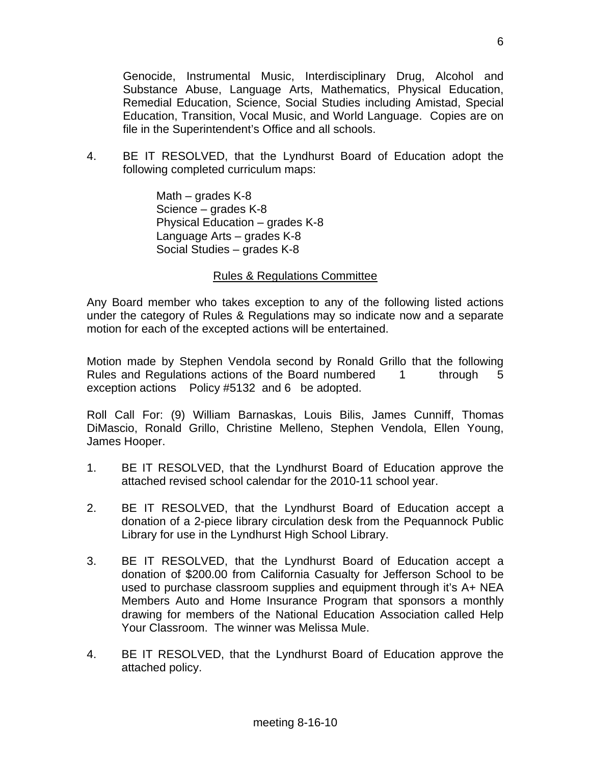Genocide, Instrumental Music, Interdisciplinary Drug, Alcohol and Substance Abuse, Language Arts, Mathematics, Physical Education, Remedial Education, Science, Social Studies including Amistad, Special Education, Transition, Vocal Music, and World Language. Copies are on file in the Superintendent's Office and all schools.

4. BE IT RESOLVED, that the Lyndhurst Board of Education adopt the following completed curriculum maps:

> Math – grades K-8 Science – grades K-8 Physical Education – grades K-8 Language Arts – grades K-8 Social Studies – grades K-8

#### Rules & Regulations Committee

Any Board member who takes exception to any of the following listed actions under the category of Rules & Regulations may so indicate now and a separate motion for each of the excepted actions will be entertained.

Motion made by Stephen Vendola second by Ronald Grillo that the following Rules and Regulations actions of the Board numbered 1 through 5 exception actions Policy #5132 and 6 be adopted.

Roll Call For: (9) William Barnaskas, Louis Bilis, James Cunniff, Thomas DiMascio, Ronald Grillo, Christine Melleno, Stephen Vendola, Ellen Young, James Hooper.

- 1. BE IT RESOLVED, that the Lyndhurst Board of Education approve the attached revised school calendar for the 2010-11 school year.
- 2. BE IT RESOLVED, that the Lyndhurst Board of Education accept a donation of a 2-piece library circulation desk from the Pequannock Public Library for use in the Lyndhurst High School Library.
- 3. BE IT RESOLVED, that the Lyndhurst Board of Education accept a donation of \$200.00 from California Casualty for Jefferson School to be used to purchase classroom supplies and equipment through it's A+ NEA Members Auto and Home Insurance Program that sponsors a monthly drawing for members of the National Education Association called Help Your Classroom. The winner was Melissa Mule.
- 4. BE IT RESOLVED, that the Lyndhurst Board of Education approve the attached policy.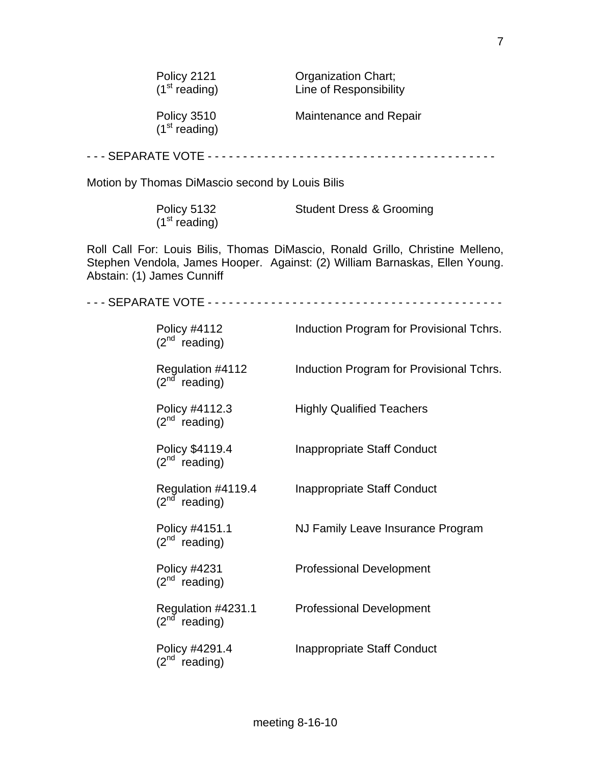| Policy 2121               | <b>Organization Chart;</b> |
|---------------------------|----------------------------|
| (1 <sup>st</sup> reading) | Line of Responsibilit      |

of Responsibility

 $(1<sup>st</sup> reading)$ 

Policy 3510 Maintenance and Repair

- - - SEPARATE VOTE - - - - - - - - - - - - - - - - - - - - - - - - - - - - - - - - - - - - - - - - -

Motion by Thomas DiMascio second by Louis Bilis

| Policy 5132               | <b>Student Dress &amp; Grooming</b> |
|---------------------------|-------------------------------------|
| (1 <sup>st</sup> reading) |                                     |

Roll Call For: Louis Bilis, Thomas DiMascio, Ronald Grillo, Christine Melleno, Stephen Vendola, James Hooper. Against: (2) William Barnaskas, Ellen Young. Abstain: (1) James Cunniff

- - - SEPARATE VOTE - - - - - - - - - - - - - - - - - - - - - - - - - - - - - - - - - - - - - - - - - -

| Policy #4112<br>$(2^{nd}$ reading)                | Induction Program for Provisional Tchrs. |
|---------------------------------------------------|------------------------------------------|
| Regulation #4112<br>$(2^{nd}$ reading)            | Induction Program for Provisional Tchrs. |
| Policy #4112.3<br>$(2^{nd}$ reading)              | <b>Highly Qualified Teachers</b>         |
| Policy \$4119.4<br>$(2^{nd}$ reading)             | Inappropriate Staff Conduct              |
| Regulation #4119.4<br>$(2^{nd}$ reading)          | Inappropriate Staff Conduct              |
| Policy #4151.1<br>$(2^{nd}$ reading)              | NJ Family Leave Insurance Program        |
| <b>Policy #4231</b><br>$(2^{nd}$ reading)         | <b>Professional Development</b>          |
| Regulation #4231.1<br>$(2^{nd}$ reading)          | <b>Professional Development</b>          |
| Policy #4291.4<br>$(2^{\mathsf{nd}})$<br>reading) | Inappropriate Staff Conduct              |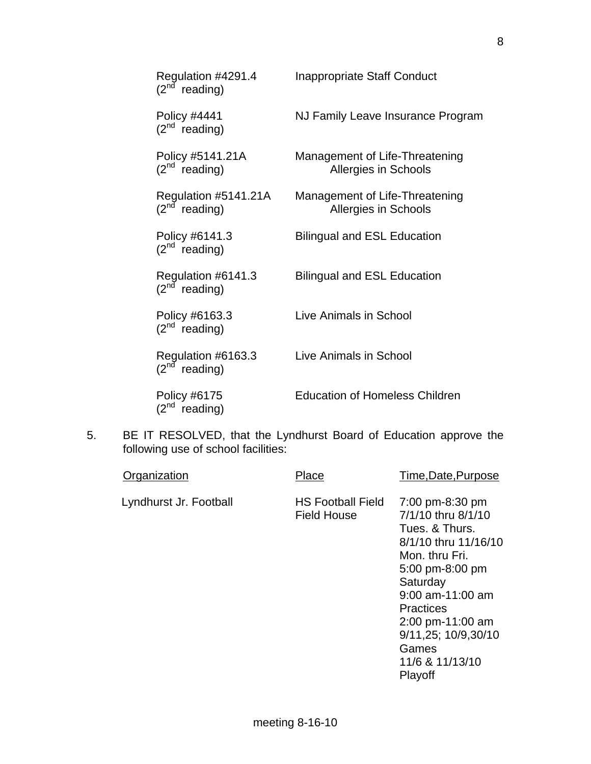| Regulation #4291.4<br>(2 <sup>nd</sup> reading) | <b>Inappropriate Staff Conduct</b>                            |
|-------------------------------------------------|---------------------------------------------------------------|
| Policy #4441<br>$(2^{nd}$ reading)              | NJ Family Leave Insurance Program                             |
| Policy #5141.21A<br>$(2^{nd}$ reading)          | Management of Life-Threatening<br>Allergies in Schools        |
| Regulation #5141.21A<br>$(2^{nd}$<br>reading)   | Management of Life-Threatening<br><b>Allergies in Schools</b> |
| Policy #6141.3<br>$(2^{nd}$ reading)            | <b>Bilingual and ESL Education</b>                            |
| Regulation #6141.3<br>$(2^{nd}$ reading)        | <b>Bilingual and ESL Education</b>                            |
| Policy #6163.3<br>$(2^{nd}$ reading)            | Live Animals in School                                        |
| Regulation #6163.3<br>$(2^{nd}$<br>reading)     | Live Animals in School                                        |
| Policy #6175<br>$(2^{nd}$<br>reading)           | <b>Education of Homeless Children</b>                         |

5. BE IT RESOLVED, that the Lyndhurst Board of Education approve the following use of school facilities:

| Organization           | Place                                          | Time, Date, Purpose                                                                                                                                                                                                                                            |
|------------------------|------------------------------------------------|----------------------------------------------------------------------------------------------------------------------------------------------------------------------------------------------------------------------------------------------------------------|
| Lyndhurst Jr. Football | <b>HS Football Field</b><br><b>Field House</b> | 7:00 pm-8:30 pm<br>7/1/10 thru 8/1/10<br>Tues, & Thurs.<br>8/1/10 thru 11/16/10<br>Mon. thru Fri.<br>5:00 pm-8:00 pm<br>Saturday<br>$9:00$ am-11:00 am<br><b>Practices</b><br>$2:00$ pm-11:00 am<br>9/11,25; 10/9,30/10<br>Games<br>11/6 & 11/13/10<br>Playoff |
|                        |                                                |                                                                                                                                                                                                                                                                |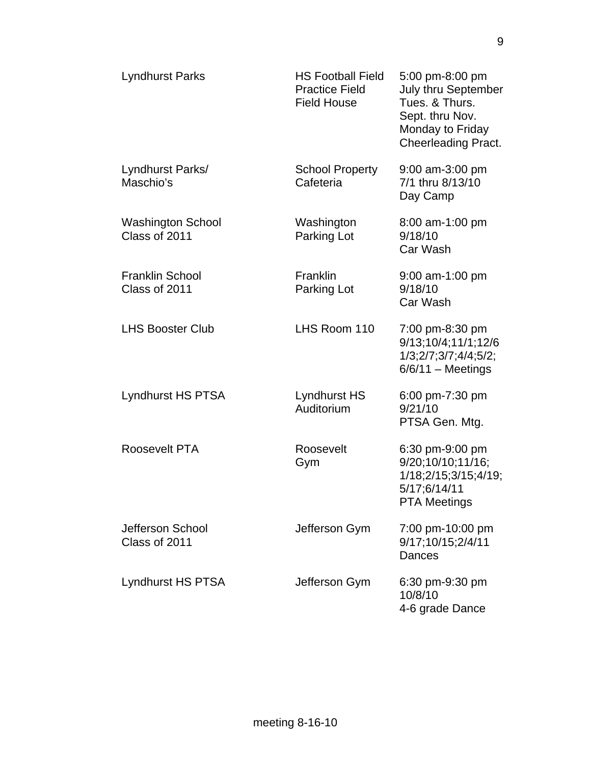| <b>Lyndhurst Parks</b>                    | <b>HS Football Field</b><br><b>Practice Field</b><br><b>Field House</b> | 5:00 pm-8:00 pm<br>July thru September<br>Tues, & Thurs.<br>Sept. thru Nov.<br>Monday to Friday<br><b>Cheerleading Pract.</b> |
|-------------------------------------------|-------------------------------------------------------------------------|-------------------------------------------------------------------------------------------------------------------------------|
| Lyndhurst Parks/<br>Maschio's             | <b>School Property</b><br>Cafeteria                                     | 9:00 am-3:00 pm<br>7/1 thru 8/13/10<br>Day Camp                                                                               |
| <b>Washington School</b><br>Class of 2011 | Washington<br>Parking Lot                                               | 8:00 am-1:00 pm<br>9/18/10<br>Car Wash                                                                                        |
| <b>Franklin School</b><br>Class of 2011   | <b>Franklin</b><br>Parking Lot                                          | 9:00 am-1:00 pm<br>9/18/10<br>Car Wash                                                                                        |
| <b>LHS Booster Club</b>                   | LHS Room 110                                                            | 7:00 pm-8:30 pm<br>9/13;10/4;11/1;12/6<br>1/3;2/7;3/7;4/4;5/2;<br>$6/6/11 - Meetings$                                         |
| Lyndhurst HS PTSA                         | Lyndhurst HS<br>Auditorium                                              | 6:00 pm-7:30 pm<br>9/21/10<br>PTSA Gen. Mtg.                                                                                  |
| Roosevelt PTA                             | Roosevelt<br>Gym                                                        | 6:30 pm-9:00 pm<br>9/20;10/10;11/16;<br>1/18;2/15;3/15;4/19;<br>5/17;6/14/11<br><b>PTA Meetings</b>                           |
| Jefferson School<br>Class of 2011         | Jefferson Gym                                                           | 7:00 pm-10:00 pm<br>9/17;10/15;2/4/11<br><b>Dances</b>                                                                        |
| Lyndhurst HS PTSA                         | Jefferson Gym                                                           | 6:30 pm-9:30 pm<br>10/8/10<br>4-6 grade Dance                                                                                 |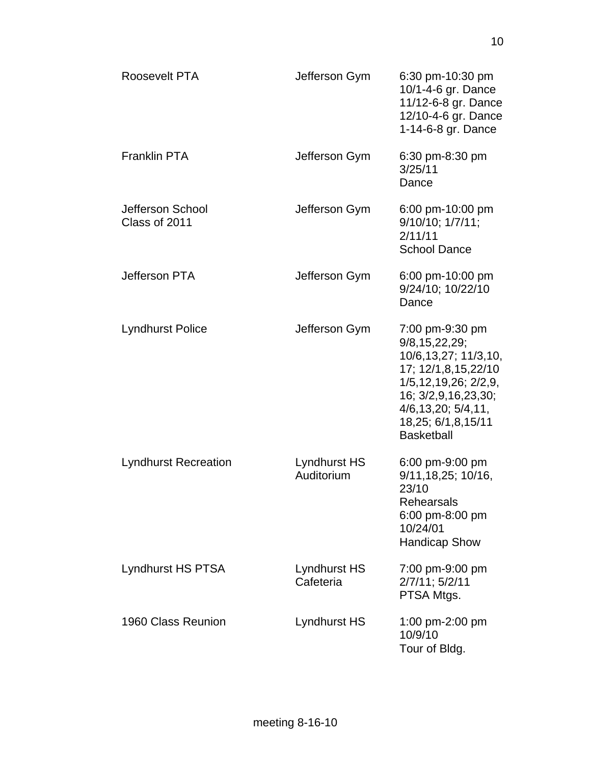| Roosevelt PTA                     | Jefferson Gym                    | 6:30 pm-10:30 pm<br>10/1-4-6 gr. Dance<br>11/12-6-8 gr. Dance<br>12/10-4-6 gr. Dance<br>1-14-6-8 gr. Dance                                                                                                |
|-----------------------------------|----------------------------------|-----------------------------------------------------------------------------------------------------------------------------------------------------------------------------------------------------------|
| <b>Franklin PTA</b>               | Jefferson Gym                    | 6:30 pm-8:30 pm<br>3/25/11<br>Dance                                                                                                                                                                       |
| Jefferson School<br>Class of 2011 | Jefferson Gym                    | 6:00 pm-10:00 pm<br>$9/10/10$ ; $1/7/11$ ;<br>2/11/11<br><b>School Dance</b>                                                                                                                              |
| Jefferson PTA                     | Jefferson Gym                    | 6:00 pm-10:00 pm<br>9/24/10; 10/22/10<br>Dance                                                                                                                                                            |
| <b>Lyndhurst Police</b>           | Jefferson Gym                    | 7:00 pm-9:30 pm<br>9/8, 15, 22, 29;<br>10/6,13,27; 11/3,10,<br>17; 12/1,8,15,22/10<br>1/5, 12, 19, 26; 2/2, 9,<br>16; 3/2,9,16,23,30;<br>4/6, 13, 20; 5/4, 11,<br>18,25; 6/1,8,15/11<br><b>Basketball</b> |
| <b>Lyndhurst Recreation</b>       | Lyndhurst HS<br>Auditorium       | 6:00 pm-9:00 pm<br>9/11, 18, 25; 10/16,<br>23/10<br><b>Rehearsals</b><br>6:00 pm-8:00 pm<br>10/24/01<br><b>Handicap Show</b>                                                                              |
| Lyndhurst HS PTSA                 | <b>Lyndhurst HS</b><br>Cafeteria | 7:00 pm-9:00 pm<br>2/7/11; 5/2/11<br>PTSA Mtgs.                                                                                                                                                           |
| 1960 Class Reunion                | Lyndhurst HS                     | 1:00 pm-2:00 pm<br>10/9/10<br>Tour of Bldg.                                                                                                                                                               |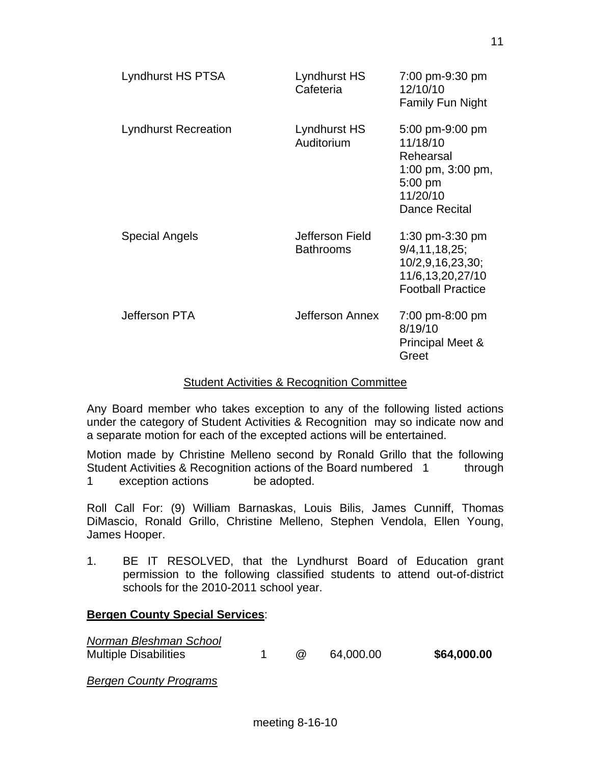| Lyndhurst HS PTSA           | Lyndhurst HS<br>Cafeteria           | 7:00 pm-9:30 pm<br>12/10/10<br><b>Family Fun Night</b>                                                         |
|-----------------------------|-------------------------------------|----------------------------------------------------------------------------------------------------------------|
| <b>Lyndhurst Recreation</b> | Lyndhurst HS<br>Auditorium          | 5:00 pm-9:00 pm<br>11/18/10<br>Rehearsal<br>1:00 pm, 3:00 pm,<br>$5:00$ pm<br>11/20/10<br><b>Dance Recital</b> |
| <b>Special Angels</b>       | Jefferson Field<br><b>Bathrooms</b> | 1:30 pm-3:30 pm<br>9/4, 11, 18, 25;<br>10/2,9,16,23,30;<br>11/6,13,20,27/10<br><b>Football Practice</b>        |
| Jefferson PTA               | Jefferson Annex                     | 7:00 pm-8:00 pm<br>8/19/10<br><b>Principal Meet &amp;</b><br>Greet                                             |

#### Student Activities & Recognition Committee

Any Board member who takes exception to any of the following listed actions under the category of Student Activities & Recognition may so indicate now and a separate motion for each of the excepted actions will be entertained.

Motion made by Christine Melleno second by Ronald Grillo that the following Student Activities & Recognition actions of the Board numbered 1 through 1 exception actions be adopted.

Roll Call For: (9) William Barnaskas, Louis Bilis, James Cunniff, Thomas DiMascio, Ronald Grillo, Christine Melleno, Stephen Vendola, Ellen Young, James Hooper.

1. BE IT RESOLVED, that the Lyndhurst Board of Education grant permission to the following classified students to attend out-of-district schools for the 2010-2011 school year.

#### **Bergen County Special Services**:

| Norman Bleshman School<br><b>Multiple Disabilities</b> | $(\alpha)$ | 64.000.00 | \$64,000.00 |
|--------------------------------------------------------|------------|-----------|-------------|
| <b>Bergen County Programs</b>                          |            |           |             |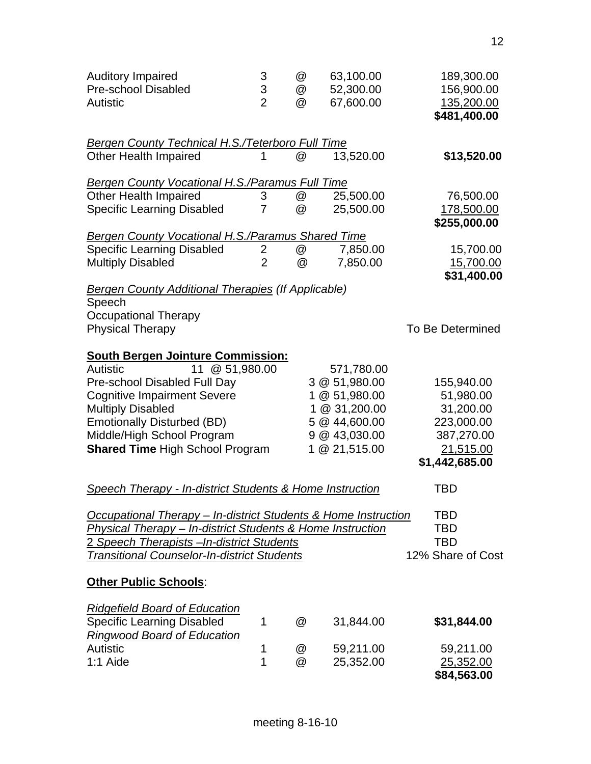| <b>Auditory Impaired</b><br><b>Pre-school Disabled</b><br>Autistic | 3<br>3<br>$\overline{2}$ | @<br>@<br>@ | 63,100.00<br>52,300.00<br>67,600.00 | 189,300.00<br>156,900.00<br>135,200.00<br>\$481,400.00 |
|--------------------------------------------------------------------|--------------------------|-------------|-------------------------------------|--------------------------------------------------------|
| <u>Bergen County Technical H.S./Teterboro Full Time</u>            |                          |             |                                     |                                                        |
| <b>Other Health Impaired</b>                                       |                          | @           | 13,520.00                           | \$13,520.00                                            |
| <b>Bergen County Vocational H.S./Paramus Full Time</b>             |                          |             |                                     |                                                        |
| <b>Other Health Impaired</b>                                       | 3                        | @           | 25,500.00                           | 76,500.00                                              |
| <b>Specific Learning Disabled</b>                                  | 7                        | @           | 25,500.00                           | 178,500.00                                             |
|                                                                    |                          |             |                                     | \$255,000.00                                           |
| <b>Bergen County Vocational H.S./Paramus Shared Time</b>           |                          |             |                                     |                                                        |
| <b>Specific Learning Disabled</b>                                  | $\overline{2}$           | @           | 7,850.00                            | 15,700.00                                              |
| <b>Multiply Disabled</b>                                           | $\overline{2}$           | @           | 7,850.00                            | 15,700.00                                              |
|                                                                    |                          |             |                                     | \$31,400.00                                            |
| <b>Bergen County Additional Therapies (If Applicable)</b>          |                          |             |                                     |                                                        |
| Speech                                                             |                          |             |                                     |                                                        |
| <b>Occupational Therapy</b>                                        |                          |             |                                     |                                                        |
| <b>Physical Therapy</b>                                            |                          |             |                                     | To Be Determined                                       |
|                                                                    |                          |             |                                     |                                                        |
| <b>South Bergen Jointure Commission:</b>                           |                          |             |                                     |                                                        |
| Autistic<br>11 @ 51,980.00                                         |                          |             | 571,780.00                          |                                                        |
| Pre-school Disabled Full Day                                       |                          |             | 3 @ 51,980.00                       | 155,940.00                                             |
| <b>Cognitive Impairment Severe</b>                                 |                          |             | 1 @ 51,980.00                       | 51,980.00                                              |
| <b>Multiply Disabled</b>                                           |                          | 1           | @ 31,200.00                         | 31,200.00                                              |
| <b>Emotionally Disturbed (BD)</b>                                  |                          |             | 5 @ 44,600.00                       | 223,000.00                                             |
| Middle/High School Program                                         |                          |             | 9 @ 43,030.00                       | 387,270.00                                             |
| <b>Shared Time High School Program</b>                             |                          |             | 1 @ 21,515.00                       | 21,515.00                                              |
|                                                                    |                          |             |                                     | \$1,442,685.00                                         |
| Speech Therapy - In-district Students & Home Instruction           |                          |             |                                     | TBD                                                    |
| Occupational Therapy - In-district Students & Home Instruction     |                          |             |                                     | <b>TBD</b>                                             |
| Physical Therapy - In-district Students & Home Instruction         |                          |             |                                     | <b>TBD</b>                                             |
| 2 Speech Therapists - In-district Students                         |                          |             |                                     | <b>TBD</b>                                             |
|                                                                    |                          |             |                                     | 12% Share of Cost                                      |
| <b>Transitional Counselor-In-district Students</b>                 |                          |             |                                     |                                                        |
| <b>Other Public Schools:</b>                                       |                          |             |                                     |                                                        |
| <b>Ridgefield Board of Education</b>                               |                          |             |                                     |                                                        |
| <b>Specific Learning Disabled</b>                                  | 1                        | @           | 31,844.00                           | \$31,844.00                                            |
| <b>Ringwood Board of Education</b>                                 |                          |             |                                     |                                                        |
| Autistic                                                           | 1                        | @           | 59,211.00                           | 59,211.00                                              |
| 1:1 Aide                                                           | 1                        | @           | 25,352.00                           | 25,352.00                                              |
|                                                                    |                          |             |                                     | \$84,563.00                                            |
|                                                                    |                          |             |                                     |                                                        |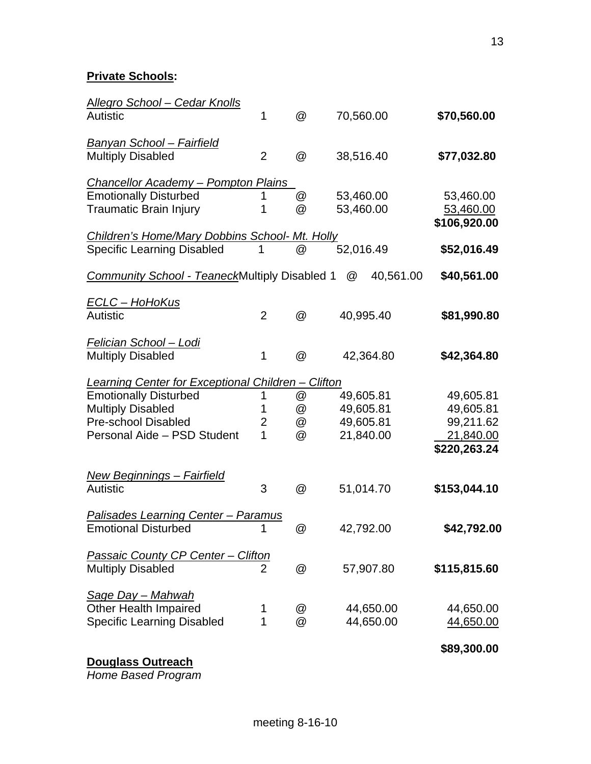**Private Schools:** 

| <b>Allegro School - Cedar Knolls</b>                                  |                |   |                       |              |
|-----------------------------------------------------------------------|----------------|---|-----------------------|--------------|
| <b>Autistic</b>                                                       | 1              | @ | 70,560.00             | \$70,560.00  |
| <u> Banyan School – Fairfield</u>                                     |                |   |                       |              |
| <b>Multiply Disabled</b>                                              | $\overline{2}$ | @ | 38,516.40             | \$77,032.80  |
| <b>Chancellor Academy - Pompton Plains</b>                            |                |   |                       |              |
| <b>Emotionally Disturbed</b>                                          | 1              | @ | 53,460.00             | 53,460.00    |
| <b>Traumatic Brain Injury</b>                                         | 1              | @ | 53,460.00             | 53,460.00    |
| Children's Home/Mary Dobbins School- Mt. Holly                        |                |   |                       | \$106,920.00 |
| <b>Specific Learning Disabled</b>                                     | 1              | @ | 52,016.49             | \$52,016.49  |
| Community School - TeaneckMultiply Disabled 1                         |                |   | 40,561.00<br>$\omega$ | \$40,561.00  |
| <u> ECLC – HoHoKus</u>                                                |                |   |                       |              |
| <b>Autistic</b>                                                       | $\overline{2}$ | @ | 40,995.40             | \$81,990.80  |
| <u> Felician School – Lodi</u>                                        |                |   |                       |              |
| <b>Multiply Disabled</b>                                              | 1              | @ | 42,364.80             | \$42,364.80  |
| Learning Center for Exceptional Children - Clifton                    |                |   |                       |              |
| <b>Emotionally Disturbed</b>                                          | 1              | @ | 49,605.81             | 49,605.81    |
| <b>Multiply Disabled</b>                                              | 1              | @ | 49,605.81             | 49,605.81    |
| <b>Pre-school Disabled</b>                                            | 2              | @ | 49,605.81             | 99,211.62    |
| Personal Aide - PSD Student                                           | 1              | @ | 21,840.00             | 21,840.00    |
|                                                                       |                |   |                       | \$220,263.24 |
| <b>New Beginnings - Fairfield</b>                                     |                |   |                       |              |
| Autistic                                                              | 3              | @ | 51,014.70             | \$153,044.10 |
| <b>Palisades Learning Center - Paramus</b>                            |                |   |                       |              |
| <b>Emotional Disturbed</b>                                            | 1              | @ | 42,792.00             | \$42,792.00  |
|                                                                       |                |   |                       |              |
| <b>Passaic County CP Center - Clifton</b><br><b>Multiply Disabled</b> | $\overline{2}$ | @ | 57,907.80             | \$115,815.60 |
|                                                                       |                |   |                       |              |
| <u>Sage Day – Mahwah</u>                                              |                |   |                       |              |
| <b>Other Health Impaired</b>                                          | 1              | @ | 44,650.00             | 44,650.00    |
| <b>Specific Learning Disabled</b>                                     | 1              | @ | 44,650.00             | 44,650.00    |
|                                                                       |                |   |                       | \$89,300.00  |

**Douglass Outreach** 

*Home Based Program*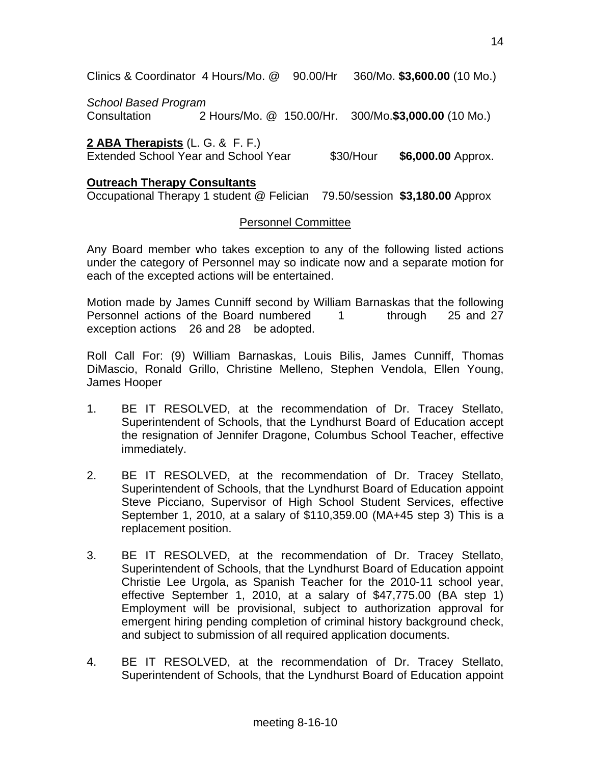Clinics & Coordinator 4 Hours/Mo. @ 90.00/Hr 360/Mo. **\$3,600.00** (10 Mo.)

*School Based Program* 

Consultation 2 Hours/Mo. @ 150.00/Hr. 300/Mo.**\$3,000.00** (10 Mo.)

**2 ABA Therapists** (L. G. & F. F.) Extended School Year and School Year \$30/Hour **\$6,000.00** Approx.

## **Outreach Therapy Consultants**

Occupational Therapy 1 student @ Felician 79.50/session **\$3,180.00** Approx

## Personnel Committee

Any Board member who takes exception to any of the following listed actions under the category of Personnel may so indicate now and a separate motion for each of the excepted actions will be entertained.

Motion made by James Cunniff second by William Barnaskas that the following Personnel actions of the Board numbered 1 through 25 and 27 exception actions 26 and 28 be adopted.

Roll Call For: (9) William Barnaskas, Louis Bilis, James Cunniff, Thomas DiMascio, Ronald Grillo, Christine Melleno, Stephen Vendola, Ellen Young, James Hooper

- 1. BE IT RESOLVED, at the recommendation of Dr. Tracey Stellato, Superintendent of Schools, that the Lyndhurst Board of Education accept the resignation of Jennifer Dragone, Columbus School Teacher, effective immediately.
- 2. BE IT RESOLVED, at the recommendation of Dr. Tracey Stellato, Superintendent of Schools, that the Lyndhurst Board of Education appoint Steve Picciano, Supervisor of High School Student Services, effective September 1, 2010, at a salary of \$110,359.00 (MA+45 step 3) This is a replacement position.
- 3. BE IT RESOLVED, at the recommendation of Dr. Tracey Stellato, Superintendent of Schools, that the Lyndhurst Board of Education appoint Christie Lee Urgola, as Spanish Teacher for the 2010-11 school year, effective September 1, 2010, at a salary of \$47,775.00 (BA step 1) Employment will be provisional, subject to authorization approval for emergent hiring pending completion of criminal history background check, and subject to submission of all required application documents.
- 4. BE IT RESOLVED, at the recommendation of Dr. Tracey Stellato, Superintendent of Schools, that the Lyndhurst Board of Education appoint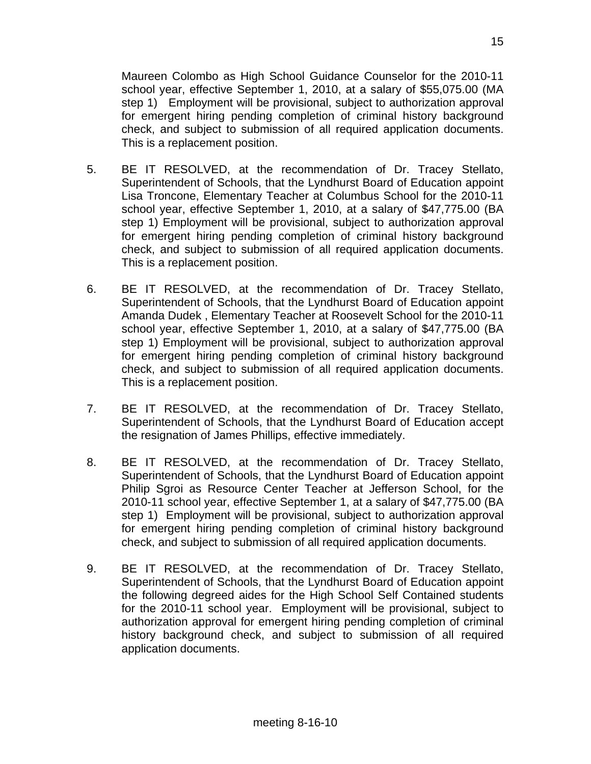Maureen Colombo as High School Guidance Counselor for the 2010-11 school year, effective September 1, 2010, at a salary of \$55,075.00 (MA step 1) Employment will be provisional, subject to authorization approval for emergent hiring pending completion of criminal history background check, and subject to submission of all required application documents. This is a replacement position.

- 5. BE IT RESOLVED, at the recommendation of Dr. Tracey Stellato, Superintendent of Schools, that the Lyndhurst Board of Education appoint Lisa Troncone, Elementary Teacher at Columbus School for the 2010-11 school year, effective September 1, 2010, at a salary of \$47,775.00 (BA step 1) Employment will be provisional, subject to authorization approval for emergent hiring pending completion of criminal history background check, and subject to submission of all required application documents. This is a replacement position.
- 6. BE IT RESOLVED, at the recommendation of Dr. Tracey Stellato, Superintendent of Schools, that the Lyndhurst Board of Education appoint Amanda Dudek , Elementary Teacher at Roosevelt School for the 2010-11 school year, effective September 1, 2010, at a salary of \$47,775.00 (BA step 1) Employment will be provisional, subject to authorization approval for emergent hiring pending completion of criminal history background check, and subject to submission of all required application documents. This is a replacement position.
- 7. BE IT RESOLVED, at the recommendation of Dr. Tracey Stellato, Superintendent of Schools, that the Lyndhurst Board of Education accept the resignation of James Phillips, effective immediately.
- 8. BE IT RESOLVED, at the recommendation of Dr. Tracey Stellato, Superintendent of Schools, that the Lyndhurst Board of Education appoint Philip Sgroi as Resource Center Teacher at Jefferson School, for the 2010-11 school year, effective September 1, at a salary of \$47,775.00 (BA step 1) Employment will be provisional, subject to authorization approval for emergent hiring pending completion of criminal history background check, and subject to submission of all required application documents.
- 9. BE IT RESOLVED, at the recommendation of Dr. Tracey Stellato, Superintendent of Schools, that the Lyndhurst Board of Education appoint the following degreed aides for the High School Self Contained students for the 2010-11 school year. Employment will be provisional, subject to authorization approval for emergent hiring pending completion of criminal history background check, and subject to submission of all required application documents.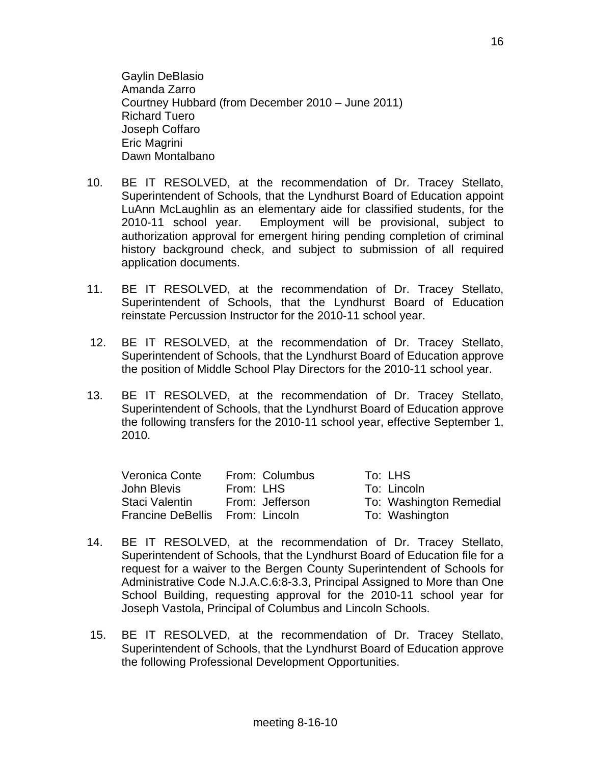Gaylin DeBlasio Amanda Zarro Courtney Hubbard (from December 2010 – June 2011) Richard Tuero Joseph Coffaro Eric Magrini Dawn Montalbano

- 10. BE IT RESOLVED, at the recommendation of Dr. Tracey Stellato, Superintendent of Schools, that the Lyndhurst Board of Education appoint LuAnn McLaughlin as an elementary aide for classified students, for the 2010-11 school year. Employment will be provisional, subject to authorization approval for emergent hiring pending completion of criminal history background check, and subject to submission of all required application documents.
- 11. BE IT RESOLVED, at the recommendation of Dr. Tracey Stellato, Superintendent of Schools, that the Lyndhurst Board of Education reinstate Percussion Instructor for the 2010-11 school year.
- 12. BE IT RESOLVED, at the recommendation of Dr. Tracey Stellato, Superintendent of Schools, that the Lyndhurst Board of Education approve the position of Middle School Play Directors for the 2010-11 school year.
- 13. BE IT RESOLVED, at the recommendation of Dr. Tracey Stellato, Superintendent of Schools, that the Lyndhurst Board of Education approve the following transfers for the 2010-11 school year, effective September 1, 2010.

| Veronica Conte                  | From: Columbus  | To: LHS                 |
|---------------------------------|-----------------|-------------------------|
| John Blevis                     | From: LHS       | To: Lincoln             |
| Staci Valentin                  | From: Jefferson | To: Washington Remedial |
| Francine DeBellis From: Lincoln |                 | To: Washington          |

- 14. BE IT RESOLVED, at the recommendation of Dr. Tracey Stellato, Superintendent of Schools, that the Lyndhurst Board of Education file for a request for a waiver to the Bergen County Superintendent of Schools for Administrative Code N.J.A.C.6:8-3.3, Principal Assigned to More than One School Building, requesting approval for the 2010-11 school year for Joseph Vastola, Principal of Columbus and Lincoln Schools.
- 15. BE IT RESOLVED, at the recommendation of Dr. Tracey Stellato, Superintendent of Schools, that the Lyndhurst Board of Education approve the following Professional Development Opportunities.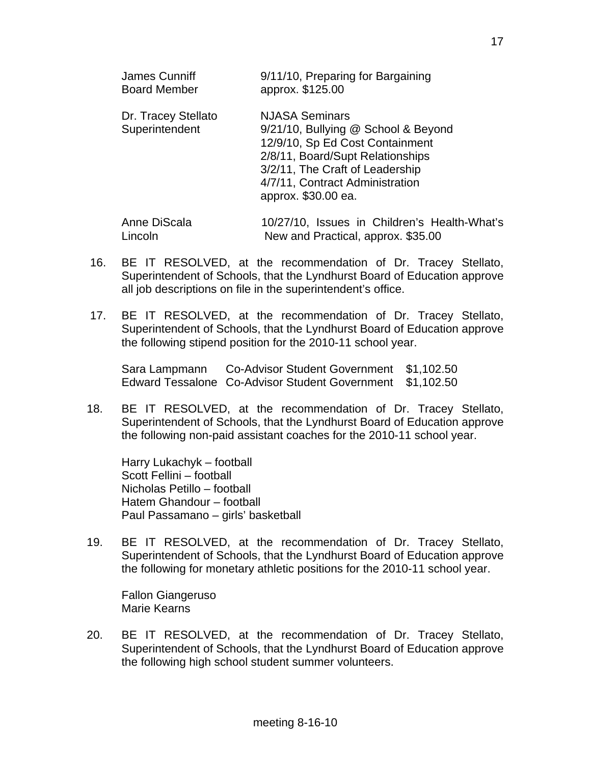| James Cunniff<br><b>Board Member</b> |                                       | 9/11/10, Preparing for Bargaining<br>approx. \$125.00                                                                                                                                                                            |
|--------------------------------------|---------------------------------------|----------------------------------------------------------------------------------------------------------------------------------------------------------------------------------------------------------------------------------|
|                                      | Dr. Tracey Stellato<br>Superintendent | <b>NJASA Seminars</b><br>9/21/10, Bullying @ School & Beyond<br>12/9/10, Sp Ed Cost Containment<br>2/8/11, Board/Supt Relationships<br>3/2/11, The Craft of Leadership<br>4/7/11, Contract Administration<br>approx. \$30.00 ea. |
| Anne DiScala<br>Lincoln              |                                       | 10/27/10, Issues in Children's Health-What's<br>New and Practical, approx. \$35.00                                                                                                                                               |

- 16. BE IT RESOLVED, at the recommendation of Dr. Tracey Stellato, Superintendent of Schools, that the Lyndhurst Board of Education approve all job descriptions on file in the superintendent's office.
- 17. BE IT RESOLVED, at the recommendation of Dr. Tracey Stellato, Superintendent of Schools, that the Lyndhurst Board of Education approve the following stipend position for the 2010-11 school year.

 Sara Lampmann Co-Advisor Student Government \$1,102.50 Edward Tessalone Co-Advisor Student Government \$1,102.50

18. BE IT RESOLVED, at the recommendation of Dr. Tracey Stellato, Superintendent of Schools, that the Lyndhurst Board of Education approve the following non-paid assistant coaches for the 2010-11 school year.

 Harry Lukachyk – football Scott Fellini – football Nicholas Petillo – football Hatem Ghandour – football Paul Passamano – girls' basketball

19. BE IT RESOLVED, at the recommendation of Dr. Tracey Stellato, Superintendent of Schools, that the Lyndhurst Board of Education approve the following for monetary athletic positions for the 2010-11 school year.

 Fallon Giangeruso Marie Kearns

20. BE IT RESOLVED, at the recommendation of Dr. Tracey Stellato, Superintendent of Schools, that the Lyndhurst Board of Education approve the following high school student summer volunteers.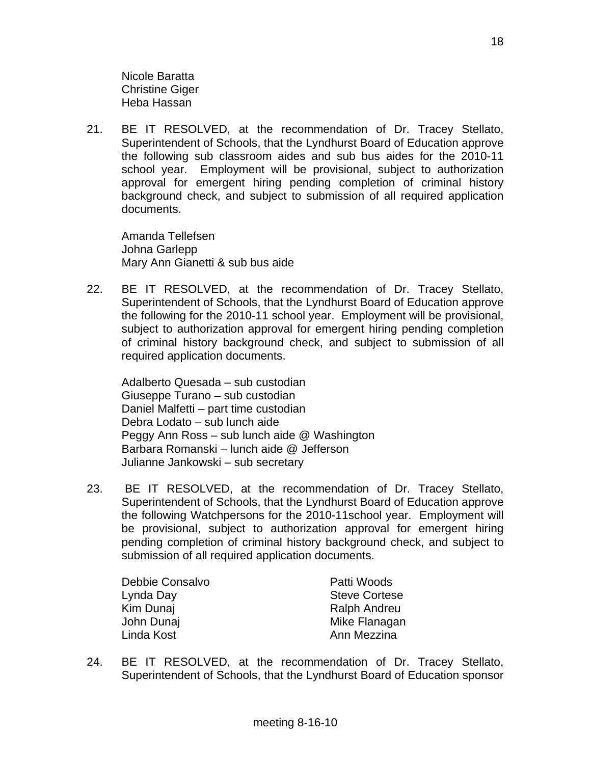Nicole Baratta Christine Giger Heba Hassan

21. BE IT RESOLVED, at the recommendation of Dr. Tracey Stellato, Superintendent of Schools, that the Lyndhurst Board of Education approve the following sub classroom aides and sub bus aides for the 2010-11 school year. Employment will be provisional, subject to authorization approval for emergent hiring pending completion of criminal history background check, and subject to submission of all required application documents.

 Amanda Tellefsen Johna Garlepp Mary Ann Gianetti & sub bus aide

22. BE IT RESOLVED, at the recommendation of Dr. Tracey Stellato, Superintendent of Schools, that the Lyndhurst Board of Education approve the following for the 2010-11 school year. Employment will be provisional, subject to authorization approval for emergent hiring pending completion of criminal history background check, and subject to submission of all required application documents.

 Adalberto Quesada – sub custodian Giuseppe Turano – sub custodian Daniel Malfetti – part time custodian Debra Lodato – sub lunch aide Peggy Ann Ross – sub lunch aide @ Washington Barbara Romanski – lunch aide @ Jefferson Julianne Jankowski – sub secretary

23. BE IT RESOLVED, at the recommendation of Dr. Tracey Stellato, Superintendent of Schools, that the Lyndhurst Board of Education approve the following Watchpersons for the 2010-11school year. Employment will be provisional, subject to authorization approval for emergent hiring pending completion of criminal history background check, and subject to submission of all required application documents.

Debbie Consalvo **Patti Woods** Lynda Day **Steve Cortese** Kim Dunaj **Ralph Andreu** John Dunai **Mike Flanagan** Linda Kost **Anni Mezzina** 

24. BE IT RESOLVED, at the recommendation of Dr. Tracey Stellato, Superintendent of Schools, that the Lyndhurst Board of Education sponsor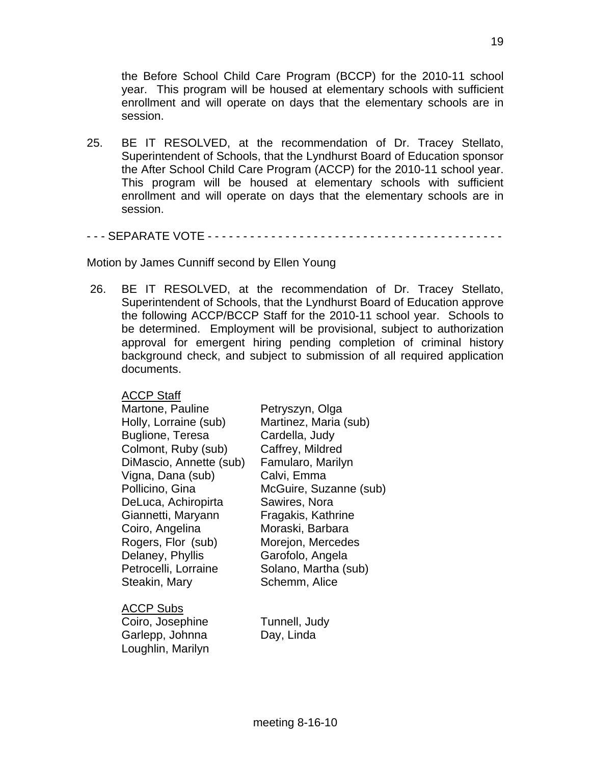the Before School Child Care Program (BCCP) for the 2010-11 school year. This program will be housed at elementary schools with sufficient enrollment and will operate on days that the elementary schools are in session.

25. BE IT RESOLVED, at the recommendation of Dr. Tracey Stellato, Superintendent of Schools, that the Lyndhurst Board of Education sponsor the After School Child Care Program (ACCP) for the 2010-11 school year. This program will be housed at elementary schools with sufficient enrollment and will operate on days that the elementary schools are in session.

- - - SEPARATE VOTE - - - - - - - - - - - - - - - - - - - - - - - - - - - - - - - - - - - - - - - - - -

Motion by James Cunniff second by Ellen Young

 26. BE IT RESOLVED, at the recommendation of Dr. Tracey Stellato, Superintendent of Schools, that the Lyndhurst Board of Education approve the following ACCP/BCCP Staff for the 2010-11 school year. Schools to be determined. Employment will be provisional, subject to authorization approval for emergent hiring pending completion of criminal history background check, and subject to submission of all required application documents.

#### ACCP Staff

| Martone, Pauline<br>Petryszyn, Olga            |  |
|------------------------------------------------|--|
| Holly, Lorraine (sub)<br>Martinez, Maria (sub) |  |
| <b>Buglione, Teresa</b><br>Cardella, Judy      |  |
| Colmont, Ruby (sub)<br>Caffrey, Mildred        |  |
| DiMascio, Annette (sub)<br>Famularo, Marilyn   |  |
| Vigna, Dana (sub)<br>Calvi, Emma               |  |
| Pollicino, Gina<br>McGuire, Suzanne (sub)      |  |
| DeLuca, Achiropirta<br>Sawires, Nora           |  |
| Giannetti, Maryann<br>Fragakis, Kathrine       |  |
| Moraski, Barbara<br>Coiro, Angelina            |  |
| Rogers, Flor (sub)<br>Morejon, Mercedes        |  |
| Delaney, Phyllis<br>Garofolo, Angela           |  |
| Solano, Martha (sub)<br>Petrocelli, Lorraine   |  |
| Schemm, Alice<br>Steakin, Mary                 |  |
| ACCP Subs                                      |  |
| Coiro, Josephine<br>Tunnell, Judy              |  |
| Garlepp, Johnna<br>Day, Linda                  |  |
| Loughlin, Marilyn                              |  |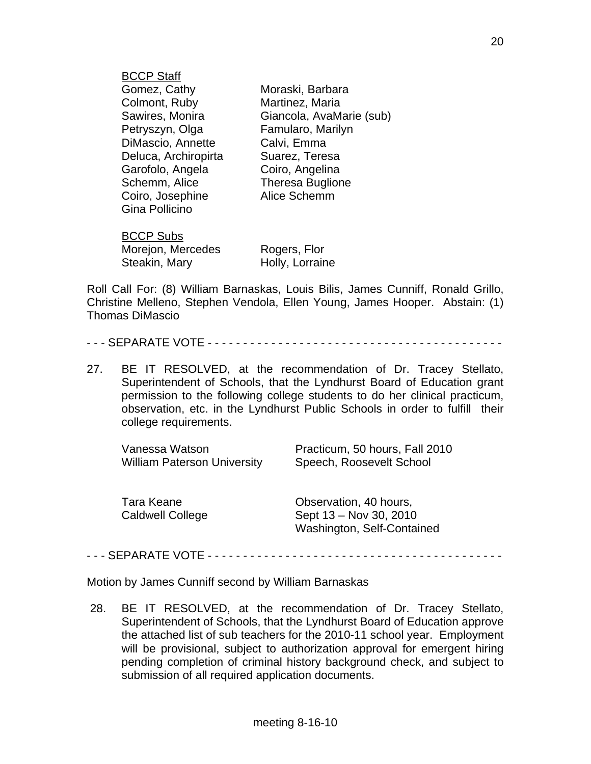| <b>BCCP Staff</b>    |                          |
|----------------------|--------------------------|
| Gomez, Cathy         | Moraski, Barbara         |
| Colmont, Ruby        | Martinez, Maria          |
| Sawires, Monira      | Giancola, AvaMarie (sub) |
| Petryszyn, Olga      | Famularo, Marilyn        |
| DiMascio, Annette    | Calvi, Emma              |
| Deluca, Archiropirta | Suarez, Teresa           |
| Garofolo, Angela     | Coiro, Angelina          |
| Schemm, Alice        | <b>Theresa Buglione</b>  |
| Coiro, Josephine     | Alice Schemm             |
| Gina Pollicino       |                          |
| <b>BCCP Subs</b>     |                          |
| Morejon, Mercedes    | Rogers, Flor             |
| Steakin, Mary        | Holly, Lorraine          |

Roll Call For: (8) William Barnaskas, Louis Bilis, James Cunniff, Ronald Grillo, Christine Melleno, Stephen Vendola, Ellen Young, James Hooper. Abstain: (1) Thomas DiMascio

|--|--|

27. BE IT RESOLVED, at the recommendation of Dr. Tracey Stellato, Superintendent of Schools, that the Lyndhurst Board of Education grant permission to the following college students to do her clinical practicum, observation, etc. in the Lyndhurst Public Schools in order to fulfill their college requirements.

| Vanessa Watson                        | Practicum, 50 hours, Fall 2010                                                 |
|---------------------------------------|--------------------------------------------------------------------------------|
| <b>William Paterson University</b>    | Speech, Roosevelt School                                                       |
| Tara Keane<br><b>Caldwell College</b> | Observation, 40 hours,<br>Sept 13 – Nov 30, 2010<br>Washington, Self-Contained |

- - - SEPARATE VOTE - - - - - - - - - - - - - - - - - - - - - - - - - - - - - - - - - - - - - - - - - -

Motion by James Cunniff second by William Barnaskas

 28. BE IT RESOLVED, at the recommendation of Dr. Tracey Stellato, Superintendent of Schools, that the Lyndhurst Board of Education approve the attached list of sub teachers for the 2010-11 school year. Employment will be provisional, subject to authorization approval for emergent hiring pending completion of criminal history background check, and subject to submission of all required application documents.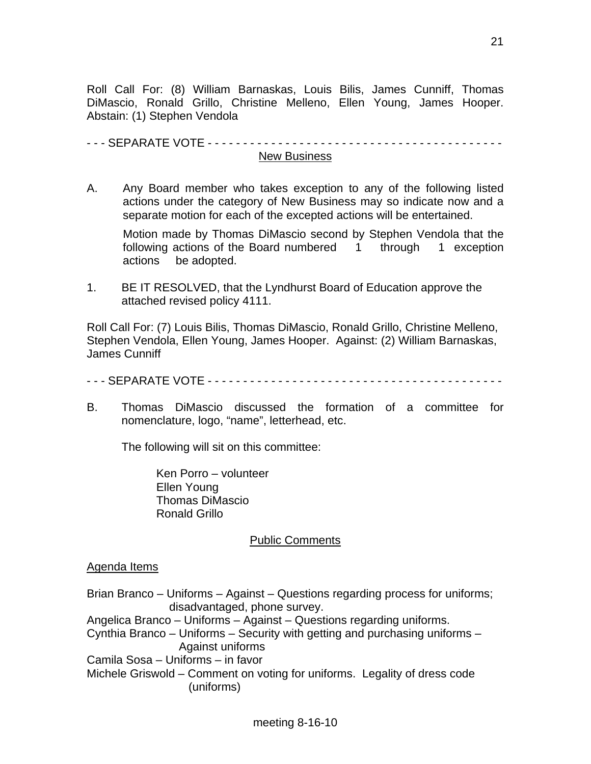Roll Call For: (8) William Barnaskas, Louis Bilis, James Cunniff, Thomas DiMascio, Ronald Grillo, Christine Melleno, Ellen Young, James Hooper. Abstain: (1) Stephen Vendola

- - - SEPARATE VOTE - - - - - - - - - - - - - - - - - - - - - - - - - - - - - - - - - - - - - - - - - - New Business

A. Any Board member who takes exception to any of the following listed actions under the category of New Business may so indicate now and a separate motion for each of the excepted actions will be entertained.

 Motion made by Thomas DiMascio second by Stephen Vendola that the following actions of the Board numbered 1 through 1 exception actions be adopted.

1. BE IT RESOLVED, that the Lyndhurst Board of Education approve the attached revised policy 4111.

Roll Call For: (7) Louis Bilis, Thomas DiMascio, Ronald Grillo, Christine Melleno, Stephen Vendola, Ellen Young, James Hooper. Against: (2) William Barnaskas, James Cunniff

- - - SEPARATE VOTE - - - - - - - - - - - - - - - - - - - - - - - - - - - - - - - - - - - - - - - - - -

B. Thomas DiMascio discussed the formation of a committee for nomenclature, logo, "name", letterhead, etc.

The following will sit on this committee:

 Ken Porro – volunteer Ellen Young Thomas DiMascio Ronald Grillo

## Public Comments

#### Agenda Items

Brian Branco – Uniforms – Against – Questions regarding process for uniforms; disadvantaged, phone survey. Angelica Branco – Uniforms – Against – Questions regarding uniforms.

Cynthia Branco – Uniforms – Security with getting and purchasing uniforms – Against uniforms

Camila Sosa – Uniforms – in favor

Michele Griswold – Comment on voting for uniforms. Legality of dress code (uniforms)